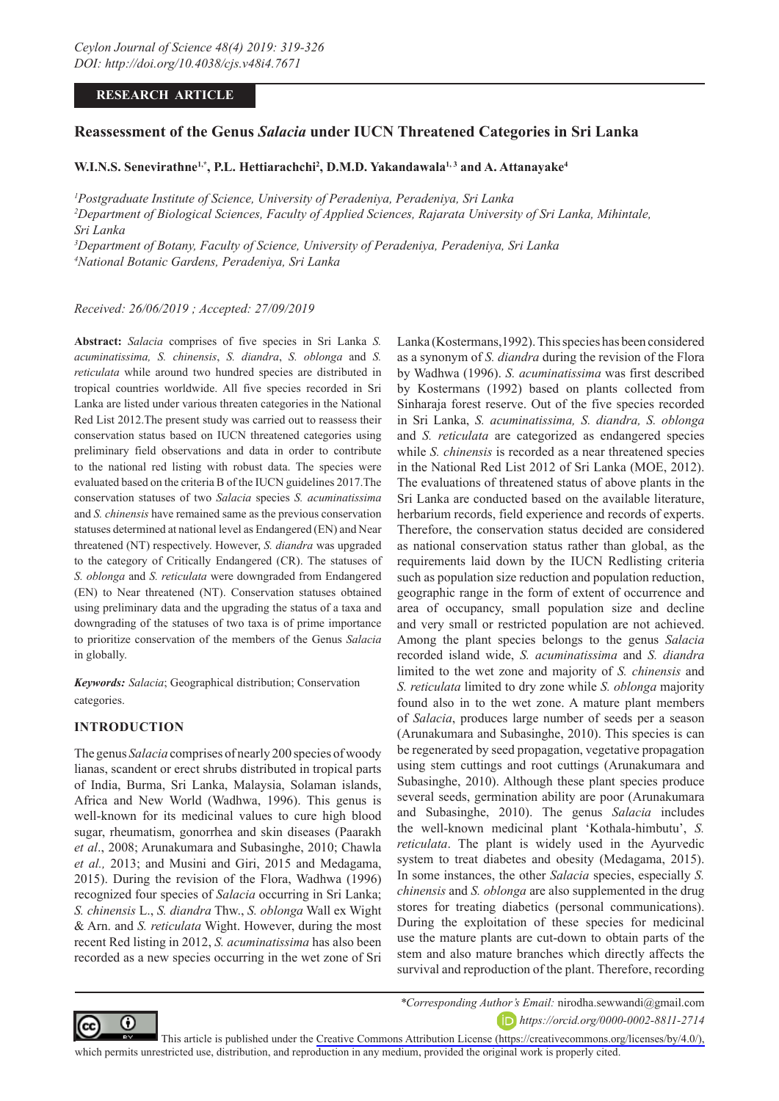# **RESEARCH ARTICLE**

# **Reassessment of the Genus** *Salacia* **under IUCN Threatened Categories in Sri Lanka**

W.I.N.S. Senevirathne<sup>1,\*</sup>, P.L. Hettiarachchi<sup>2</sup>, D.M.D. Yakandawala<sup>1, 3</sup> and A. Attanayake<sup>4</sup>

*1 Postgraduate Institute of Science, University of Peradeniya, Peradeniya, Sri Lanka 2 Department of Biological Sciences, Faculty of Applied Sciences, Rajarata University of Sri Lanka, Mihintale, Sri Lanka*

*3 Department of Botany, Faculty of Science, University of Peradeniya, Peradeniya, Sri Lanka 4 National Botanic Gardens, Peradeniya, Sri Lanka*

*Received: 26/06/2019 ; Accepted: 27/09/2019*

**Abstract:** *Salacia* comprises of five species in Sri Lanka *S. acuminatissima, S. chinensis*, *S. diandra*, *S. oblonga* and *S. reticulata* while around two hundred species are distributed in tropical countries worldwide. All five species recorded in Sri Lanka are listed under various threaten categories in the National Red List 2012.The present study was carried out to reassess their conservation status based on IUCN threatened categories using preliminary field observations and data in order to contribute to the national red listing with robust data. The species were evaluated based on the criteria B of the IUCN guidelines 2017.The conservation statuses of two *Salacia* species *S. acuminatissima*  and *S. chinensis* have remained same as the previous conservation statuses determined at national level as Endangered (EN) and Near threatened (NT) respectively. However, *S. diandra* was upgraded to the category of Critically Endangered (CR). The statuses of *S. oblonga* and *S. reticulata* were downgraded from Endangered (EN) to Near threatened (NT). Conservation statuses obtained using preliminary data and the upgrading the status of a taxa and downgrading of the statuses of two taxa is of prime importance to prioritize conservation of the members of the Genus *Salacia* in globally.

*Keywords: Salacia*; Geographical distribution; Conservation categories.

# **INTRODUCTION**

The genus *Salacia* comprises of nearly 200 species of woody lianas, scandent or erect shrubs distributed in tropical parts of India, Burma, Sri Lanka, Malaysia, Solaman islands, Africa and New World (Wadhwa, 1996). This genus is well-known for its medicinal values to cure high blood sugar, rheumatism, gonorrhea and skin diseases (Paarakh *et al*., 2008; Arunakumara and Subasinghe, 2010; Chawla *et al.,* 2013; and Musini and Giri, 2015 and Medagama, 2015). During the revision of the Flora, Wadhwa (1996) recognized four species of *Salacia* occurring in Sri Lanka; *S. chinensis* L., *S. diandra* Thw., *S. oblonga* Wall ex Wight & Arn. and *S. reticulata* Wight. However, during the most recent Red listing in 2012, *S. acuminatissima* has also been recorded as a new species occurring in the wet zone of Sri Lanka (Kostermans,1992). This species has been considered as a synonym of *S. diandra* during the revision of the Flora by Wadhwa (1996). *S. acuminatissima* was first described by Kostermans (1992) based on plants collected from Sinharaja forest reserve. Out of the five species recorded in Sri Lanka, *S. acuminatissima, S. diandra, S. oblonga*  and *S. reticulata* are categorized as endangered species while *S. chinensis* is recorded as a near threatened species in the National Red List 2012 of Sri Lanka (MOE, 2012). The evaluations of threatened status of above plants in the Sri Lanka are conducted based on the available literature, herbarium records, field experience and records of experts. Therefore, the conservation status decided are considered as national conservation status rather than global, as the requirements laid down by the IUCN Redlisting criteria such as population size reduction and population reduction, geographic range in the form of extent of occurrence and area of occupancy, small population size and decline and very small or restricted population are not achieved. Among the plant species belongs to the genus *Salacia* recorded island wide, *S. acuminatissima* and *S. diandra* limited to the wet zone and majority of *S. chinensis* and *S. reticulata* limited to dry zone while *S. oblonga* majority found also in to the wet zone. A mature plant members of *Salacia*, produces large number of seeds per a season (Arunakumara and Subasinghe, 2010). This species is can be regenerated by seed propagation, vegetative propagation using stem cuttings and root cuttings (Arunakumara and Subasinghe, 2010). Although these plant species produce several seeds, germination ability are poor (Arunakumara and Subasinghe, 2010). The genus *Salacia* includes the well-known medicinal plant 'Kothala-himbutu', *S. reticulata*. The plant is widely used in the Ayurvedic system to treat diabetes and obesity (Medagama, 2015). In some instances, the other *Salacia* species, especially *S. chinensis* and *S. oblonga* are also supplemented in the drug stores for treating diabetics (personal communications). During the exploitation of these species for medicinal use the mature plants are cut-down to obtain parts of the stem and also mature branches which directly affects the survival and reproduction of the plant. Therefore, recording



*\*Corresponding Author's Email:* nirodha.sewwandi@gmail.com

*https://orcid.org/0000-0002-8811-2714*

This article is published under the [Creative Commons Attribution License \(https://creativecommons.org/licenses/by/4.0/\),](https://creativecommons.org/licenses/by/4.0/)  which permits unrestricted use, distribution, and reproduction in any medium, provided the original work is properly cited.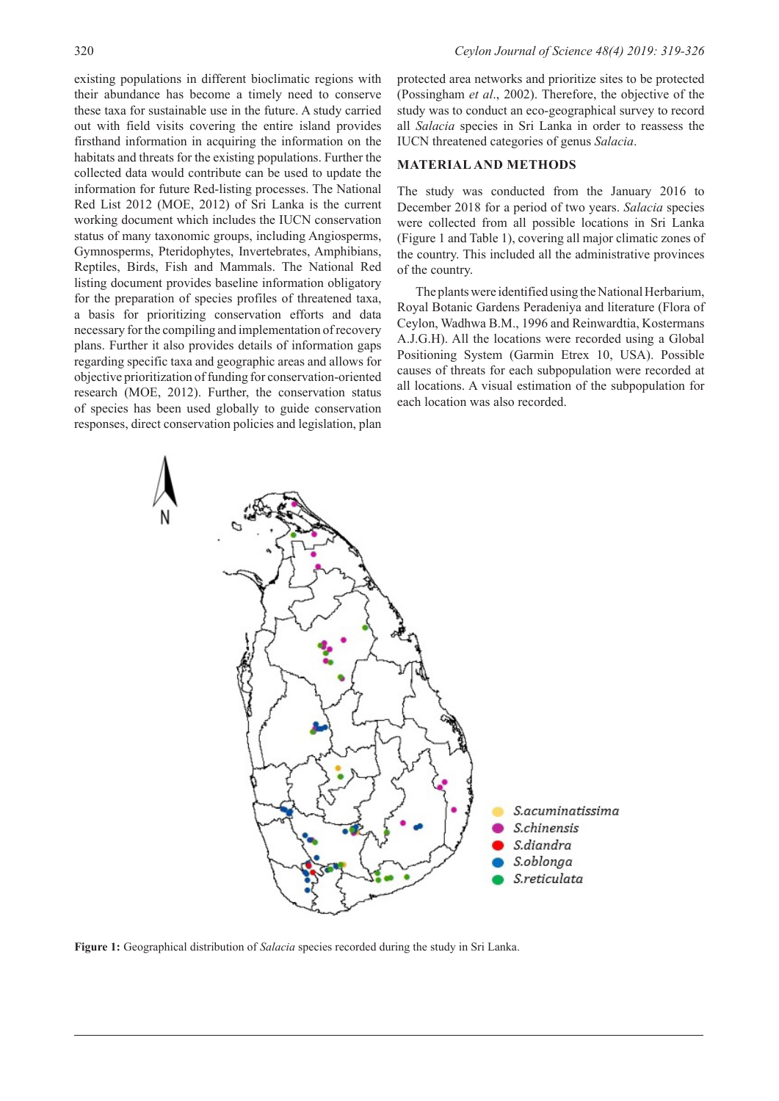existing populations in different bioclimatic regions with their abundance has become a timely need to conserve these taxa for sustainable use in the future. A study carried out with field visits covering the entire island provides firsthand information in acquiring the information on the habitats and threats for the existing populations. Further the collected data would contribute can be used to update the information for future Red-listing processes. The National Red List 2012 (MOE, 2012) of Sri Lanka is the current working document which includes the IUCN conservation status of many taxonomic groups, including Angiosperms, Gymnosperms, Pteridophytes, Invertebrates, Amphibians, Reptiles, Birds, Fish and Mammals. The National Red listing document provides baseline information obligatory for the preparation of species profiles of threatened taxa, a basis for prioritizing conservation efforts and data necessary for the compiling and implementation of recovery plans. Further it also provides details of information gaps regarding specific taxa and geographic areas and allows for objective prioritization of funding for conservation-oriented research (MOE, 2012). Further, the conservation status of species has been used globally to guide conservation responses, direct conservation policies and legislation, plan

protected area networks and prioritize sites to be protected (Possingham *et al*., 2002). Therefore, the objective of the study was to conduct an eco-geographical survey to record all *Salacia* species in Sri Lanka in order to reassess the IUCN threatened categories of genus *Salacia*.

## **MATERIAL AND METHODS**

The study was conducted from the January 2016 to December 2018 for a period of two years. *Salacia* species were collected from all possible locations in Sri Lanka (Figure 1 and Table 1), covering all major climatic zones of the country. This included all the administrative provinces of the country.

The plants were identified using the National Herbarium, Royal Botanic Gardens Peradeniya and literature (Flora of Ceylon, Wadhwa B.M., 1996 and Reinwardtia, Kostermans A.J.G.H). All the locations were recorded using a Global Positioning System (Garmin Etrex 10, USA). Possible causes of threats for each subpopulation were recorded at all locations. A visual estimation of the subpopulation for each location was also recorded.



**Figure 1:** Geographical distribution of *Salacia* species recorded during the study in Sri Lanka.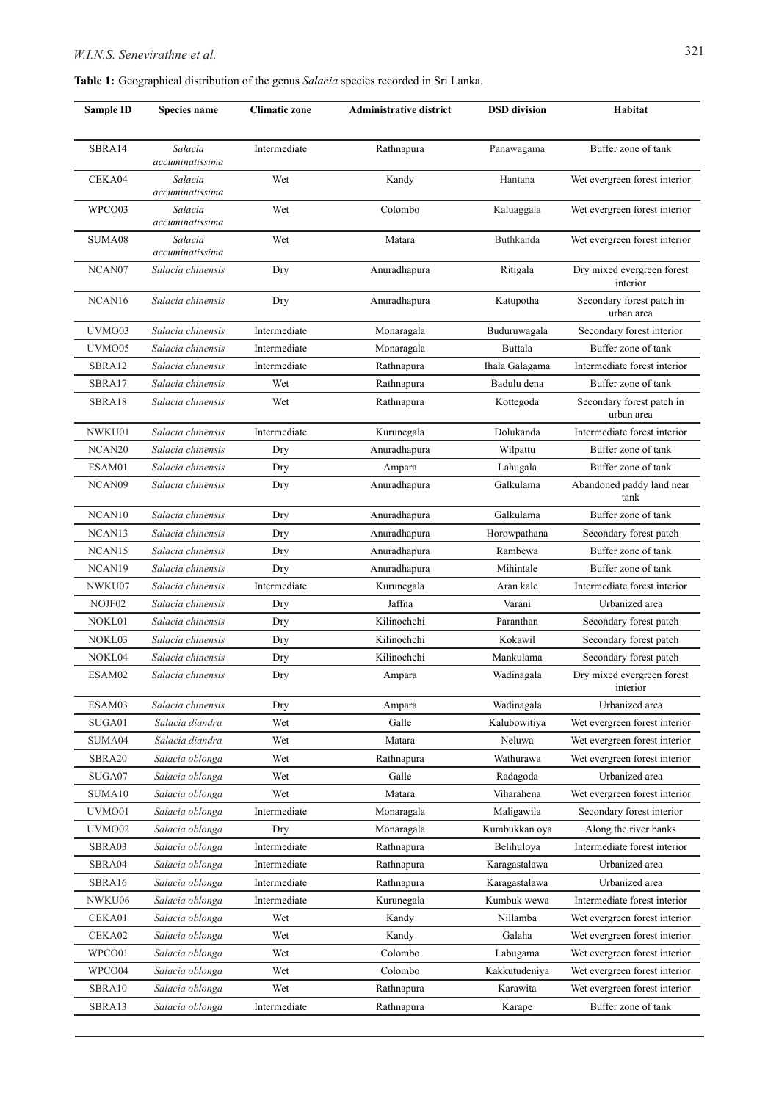**Table 1:** Geographical distribution of the genus *Salacia* species recorded in Sri Lanka.

| <b>Sample ID</b>   | Species name               | <b>Climatic zone</b> | <b>Administrative district</b> | <b>DSD</b> division | Habitat                                 |
|--------------------|----------------------------|----------------------|--------------------------------|---------------------|-----------------------------------------|
| SBRA14             | Salacia<br>accuminatissima | Intermediate         | Rathnapura                     | Panawagama          | Buffer zone of tank                     |
| CEKA04             | Salacia<br>accuminatissima | Wet                  | Kandy                          | Hantana             | Wet evergreen forest interior           |
| WPCO03             | Salacia<br>accuminatissima | Wet                  | Colombo                        | Kaluaggala          | Wet evergreen forest interior           |
| SUMA08             | Salacia<br>accuminatissima | Wet                  | Matara                         | Buthkanda           | Wet evergreen forest interior           |
| NCAN07             | Salacia chinensis          | Dry                  | Anuradhapura                   | Ritigala            | Dry mixed evergreen forest<br>interior  |
| NCAN <sub>16</sub> | Salacia chinensis          | Dry                  | Anuradhapura                   | Katupotha           | Secondary forest patch in<br>urban area |
| UVMO03             | Salacia chinensis          | Intermediate         | Monaragala                     | Buduruwagala        | Secondary forest interior               |
| UVMO05             | Salacia chinensis          | Intermediate         | Monaragala                     | Buttala             | Buffer zone of tank                     |
| SBRA12             | Salacia chinensis          | Intermediate         | Rathnapura                     | Ihala Galagama      | Intermediate forest interior            |
| SBRA17             | Salacia chinensis          | Wet                  | Rathnapura                     | Badulu dena         | Buffer zone of tank                     |
| SBRA18             | Salacia chinensis          | Wet                  | Rathnapura                     | Kottegoda           | Secondary forest patch in<br>urban area |
| NWKU01             | Salacia chinensis          | Intermediate         | Kurunegala                     | Dolukanda           | Intermediate forest interior            |
| NCAN20             | Salacia chinensis          | Dry                  | Anuradhapura                   | Wilpattu            | Buffer zone of tank                     |
| ESAM01             | Salacia chinensis          | Dry                  | Ampara                         | Lahugala            | Buffer zone of tank                     |
| NCAN09             | Salacia chinensis          | Dry                  | Anuradhapura                   | Galkulama           | Abandoned paddy land near<br>tank       |
| NCAN <sub>10</sub> | Salacia chinensis          | Dry                  | Anuradhapura                   | Galkulama           | Buffer zone of tank                     |
| NCAN <sub>13</sub> | Salacia chinensis          | Dry                  | Anuradhapura                   | Horowpathana        | Secondary forest patch                  |
| NCAN <sub>15</sub> | Salacia chinensis          | Dry                  | Anuradhapura                   | Rambewa             | Buffer zone of tank                     |
| NCAN <sub>19</sub> | Salacia chinensis          | Dry                  | Anuradhapura                   | Mihintale           | Buffer zone of tank                     |
| NWKU07             | Salacia chinensis          | Intermediate         | Kurunegala                     | Aran kale           | Intermediate forest interior            |
| NOJF02             | Salacia chinensis          | Dry                  | Jaffna                         | Varani              | Urbanized area                          |
| NOKL01             | Salacia chinensis          | Dry                  | Kilinochchi                    | Paranthan           | Secondary forest patch                  |
| NOKL03             | Salacia chinensis          | Dry                  | Kilinochchi                    | Kokawil             | Secondary forest patch                  |
| NOKL04             | Salacia chinensis          | Dry                  | Kilinochchi                    | Mankulama           | Secondary forest patch                  |
| ESAM02             | Salacia chinensis          | Dry                  | Ampara                         | Wadinagala          | Dry mixed evergreen forest<br>interior  |
| ESAM03             | Salacia chinensis          | Dry                  | Ampara                         | Wadinagala          | Urbanized area                          |
| SUGA01             | Salacia diandra            | Wet                  | Galle                          | Kalubowitiya        | Wet evergreen forest interior           |
| SUMA04             | Salacia diandra            | Wet                  | Matara                         | Neluwa              | Wet evergreen forest interior           |
| SBRA20             | Salacia oblonga            | Wet                  | Rathnapura                     | Wathurawa           | Wet evergreen forest interior           |
| SUGA07             | Salacia oblonga            | Wet                  | Galle                          | Radagoda            | Urbanized area                          |
| SUMA10             | Salacia oblonga            | Wet                  | Matara                         | Viharahena          | Wet evergreen forest interior           |
| UVMO01             | Salacia oblonga            | Intermediate         | Monaragala                     | Maligawila          | Secondary forest interior               |
| UVMO02             | Salacia oblonga            | Dry                  | Monaragala                     | Kumbukkan oya       | Along the river banks                   |
| SBRA03             | Salacia oblonga            | Intermediate         | Rathnapura                     | Belihuloya          | Intermediate forest interior            |
| SBRA04             | Salacia oblonga            | Intermediate         | Rathnapura                     | Karagastalawa       | Urbanized area                          |
| SBRA16             | Salacia oblonga            | Intermediate         | Rathnapura                     | Karagastalawa       | Urbanized area                          |
| NWKU06             | Salacia oblonga            | Intermediate         | Kurunegala                     | Kumbuk wewa         | Intermediate forest interior            |
| CEKA01             | Salacia oblonga            | Wet                  | Kandy                          | Nillamba            | Wet evergreen forest interior           |
| CEKA02             | Salacia oblonga            | Wet                  | Kandy                          | Galaha              | Wet evergreen forest interior           |
| WPCO01             | Salacia oblonga            | Wet                  | Colombo                        | Labugama            | Wet evergreen forest interior           |
| WPCO04             | Salacia oblonga            | Wet                  | Colombo                        | Kakkutudeniya       | Wet evergreen forest interior           |
| SBRA10             | Salacia oblonga            | Wet                  | Rathnapura                     | Karawita            | Wet evergreen forest interior           |
| SBRA13             | Salacia oblonga            | Intermediate         | Rathnapura                     | Karape              | Buffer zone of tank                     |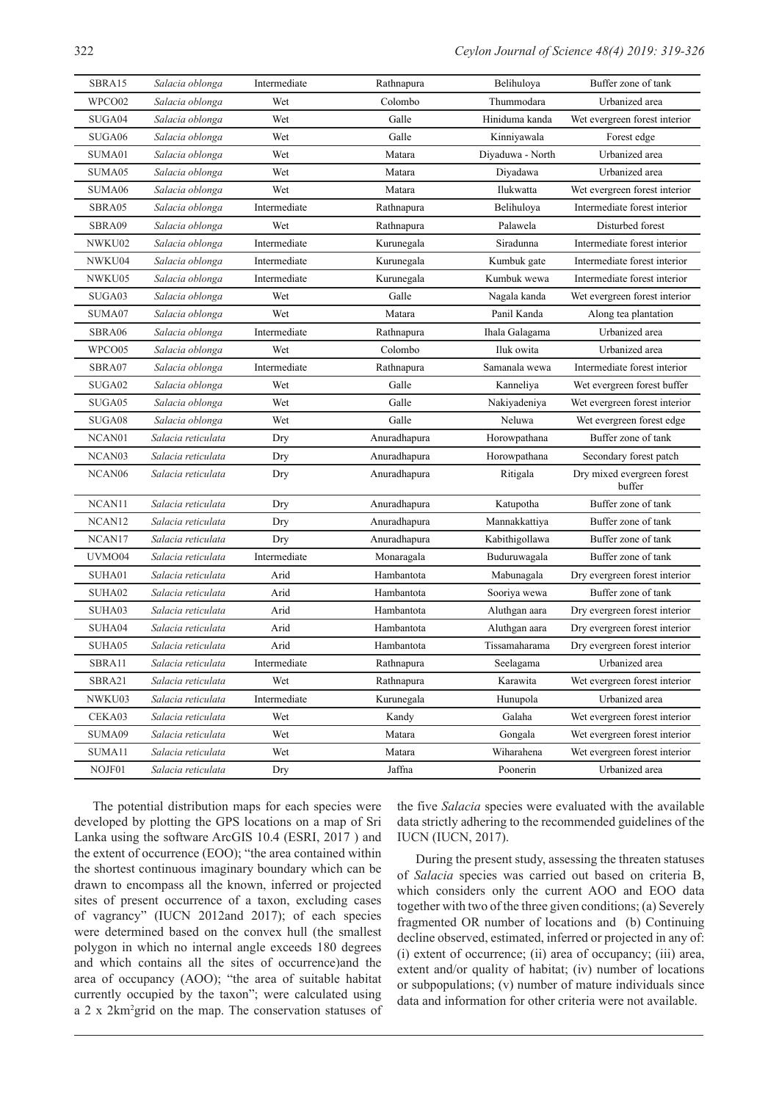| SBRA15             | Salacia oblonga    | Intermediate | Rathnapura   | Belihuloya       | Buffer zone of tank                  |
|--------------------|--------------------|--------------|--------------|------------------|--------------------------------------|
| WPCO02             | Salacia oblonga    | Wet          | Colombo      | Thummodara       | Urbanized area                       |
| SUGA04             | Salacia oblonga    | Wet          | Galle        | Hiniduma kanda   | Wet evergreen forest interior        |
| SUGA06             | Salacia oblonga    | Wet          | Galle        | Kinniyawala      | Forest edge                          |
| SUMA01             | Salacia oblonga    | Wet          | Matara       | Diyaduwa - North | Urbanized area                       |
| SUMA05             | Salacia oblonga    | Wet          | Matara       | Diyadawa         | Urbanized area                       |
| SUMA06             | Salacia oblonga    | Wet          | Matara       | Ilukwatta        | Wet evergreen forest interior        |
| SBRA05             | Salacia oblonga    | Intermediate | Rathnapura   | Belihuloya       | Intermediate forest interior         |
| SBRA09             | Salacia oblonga    | Wet          | Rathnapura   | Palawela         | Disturbed forest                     |
| NWKU02             | Salacia oblonga    | Intermediate | Kurunegala   | Siradunna        | Intermediate forest interior         |
| NWKU04             | Salacia oblonga    | Intermediate | Kurunegala   | Kumbuk gate      | Intermediate forest interior         |
| NWKU05             | Salacia oblonga    | Intermediate | Kurunegala   | Kumbuk wewa      | Intermediate forest interior         |
| SUGA03             | Salacia oblonga    | Wet          | Galle        | Nagala kanda     | Wet evergreen forest interior        |
| SUMA07             | Salacia oblonga    | Wet          | Matara       | Panil Kanda      | Along tea plantation                 |
| SBRA06             | Salacia oblonga    | Intermediate | Rathnapura   | Ihala Galagama   | Urbanized area                       |
| WPCO05             | Salacia oblonga    | Wet          | Colombo      | Iluk owita       | Urbanized area                       |
| SBRA07             | Salacia oblonga    | Intermediate | Rathnapura   | Samanala wewa    | Intermediate forest interior         |
| SUGA02             | Salacia oblonga    | Wet          | Galle        | Kanneliya        | Wet evergreen forest buffer          |
| SUGA05             | Salacia oblonga    | Wet          | Galle        | Nakiyadeniya     | Wet evergreen forest interior        |
| SUGA08             | Salacia oblonga    | Wet          | Galle        | Neluwa           | Wet evergreen forest edge            |
| NCAN01             | Salacia reticulata | Dry          | Anuradhapura | Horowpathana     | Buffer zone of tank                  |
| NCAN03             | Salacia reticulata | Dry          | Anuradhapura | Horowpathana     | Secondary forest patch               |
| NCAN <sub>06</sub> | Salacia reticulata | Dry          | Anuradhapura | Ritigala         | Dry mixed evergreen forest<br>buffer |
| NCAN11             | Salacia reticulata | Dry          | Anuradhapura | Katupotha        | Buffer zone of tank                  |
| NCAN <sub>12</sub> | Salacia reticulata | Dry          | Anuradhapura | Mannakkattiya    | Buffer zone of tank                  |
| NCAN17             | Salacia reticulata | Dry          | Anuradhapura | Kabithigollawa   | Buffer zone of tank                  |
| UVMO04             | Salacia reticulata | Intermediate | Monaragala   | Buduruwagala     | Buffer zone of tank                  |
| SUHA01             | Salacia reticulata | Arid         | Hambantota   | Mabunagala       | Dry evergreen forest interior        |
| SUHA02             | Salacia reticulata | Arid         | Hambantota   | Sooriya wewa     | Buffer zone of tank                  |
| SUHA03             | Salacia reticulata | Arid         | Hambantota   | Aluthgan aara    | Dry evergreen forest interior        |
| SUHA04             | Salacia reticulata | Arid         | Hambantota   | Aluthgan aara    | Dry evergreen forest interior        |
| SUHA05             | Salacia reticulata | Arid         | Hambantota   | Tissamaharama    | Dry evergreen forest interior        |
| SBRA11             | Salacia reticulata | Intermediate | Rathnapura   | Seelagama        | Urbanized area                       |
| SBRA21             | Salacia reticulata | Wet          | Rathnapura   | Karawita         | Wet evergreen forest interior        |
| NWKU03             | Salacia reticulata | Intermediate | Kurunegala   | Hunupola         | Urbanized area                       |
| CEKA03             | Salacia reticulata | Wet          | Kandy        | Galaha           | Wet evergreen forest interior        |
| SUMA09             | Salacia reticulata | Wet          | Matara       | Gongala          | Wet evergreen forest interior        |
| SUMA11             | Salacia reticulata | Wet          | Matara       | Wiharahena       | Wet evergreen forest interior        |
| NOJF01             | Salacia reticulata | Dry          | Jaffna       | Poonerin         | Urbanized area                       |

The potential distribution maps for each species were developed by plotting the GPS locations on a map of Sri Lanka using the software ArcGIS 10.4 (ESRI, 2017 ) and the extent of occurrence (EOO); "the area contained within the shortest continuous imaginary boundary which can be drawn to encompass all the known, inferred or projected sites of present occurrence of a taxon, excluding cases of vagrancy" (IUCN 2012and 2017); of each species were determined based on the convex hull (the smallest polygon in which no internal angle exceeds 180 degrees and which contains all the sites of occurrence)and the area of occupancy (AOO); "the area of suitable habitat currently occupied by the taxon"; were calculated using a 2 x 2km2 grid on the map. The conservation statuses of

the five *Salacia* species were evaluated with the available data strictly adhering to the recommended guidelines of the IUCN (IUCN, 2017).

During the present study, assessing the threaten statuses of *Salacia* species was carried out based on criteria B, which considers only the current AOO and EOO data together with two of the three given conditions; (a) Severely fragmented OR number of locations and (b) Continuing decline observed, estimated, inferred or projected in any of: (i) extent of occurrence; (ii) area of occupancy; (iii) area, extent and/or quality of habitat; (iv) number of locations or subpopulations; (v) number of mature individuals since data and information for other criteria were not available.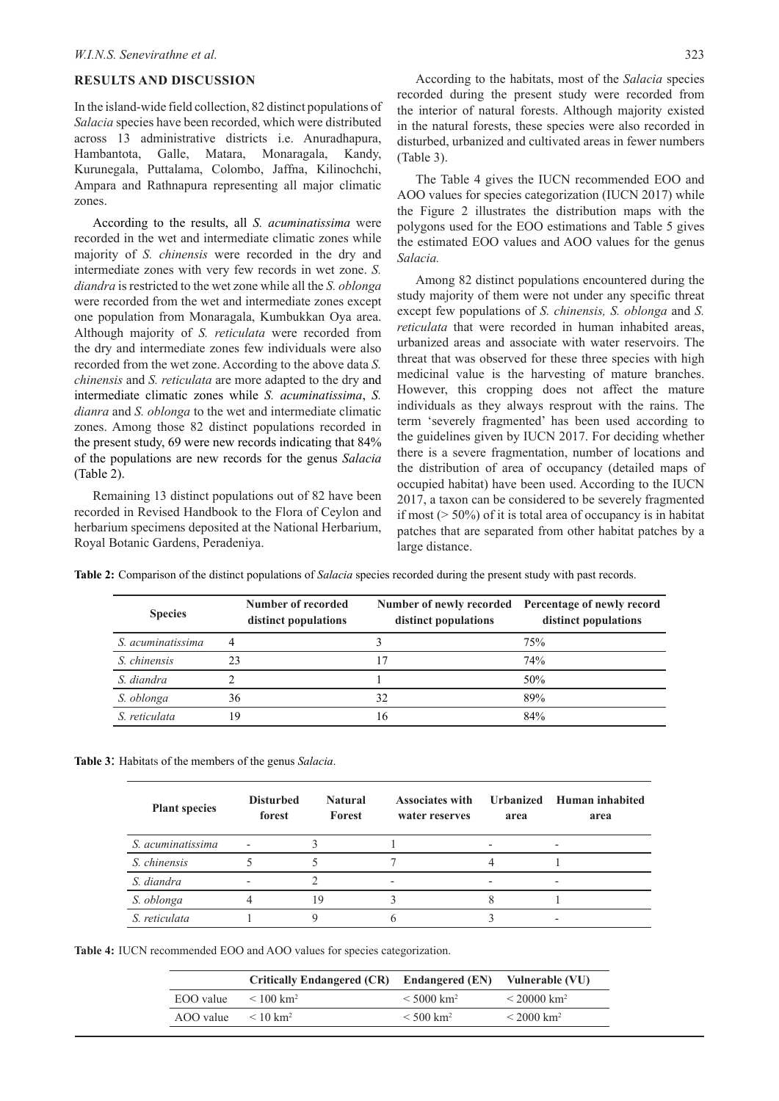#### **RESULTS AND DISCUSSION**

In the island-wide field collection, 82 distinct populations of *Salacia* species have been recorded, which were distributed across 13 administrative districts i.e. Anuradhapura, Hambantota, Galle, Matara, Monaragala, Kandy, Kurunegala, Puttalama, Colombo, Jaffna, Kilinochchi, Ampara and Rathnapura representing all major climatic zones.

According to the results, all *S. acuminatissima* were recorded in the wet and intermediate climatic zones while majority of *S. chinensis* were recorded in the dry and intermediate zones with very few records in wet zone. *S. diandra* is restricted to the wet zone while all the *S. oblonga* were recorded from the wet and intermediate zones except one population from Monaragala, Kumbukkan Oya area. Although majority of *S. reticulata* were recorded from the dry and intermediate zones few individuals were also recorded from the wet zone. According to the above data *S. chinensis* and *S. reticulata* are more adapted to the dry and intermediate climatic zones while *S. acuminatissima*, *S. dianra* and *S. oblonga* to the wet and intermediate climatic zones. Among those 82 distinct populations recorded in the present study, 69 were new records indicating that 84% of the populations are new records for the genus *Salacia* (Table 2).

Remaining 13 distinct populations out of 82 have been recorded in Revised Handbook to the Flora of Ceylon and herbarium specimens deposited at the National Herbarium, Royal Botanic Gardens, Peradeniya.

According to the habitats, most of the *Salacia* species recorded during the present study were recorded from the interior of natural forests. Although majority existed in the natural forests, these species were also recorded in disturbed, urbanized and cultivated areas in fewer numbers (Table 3).

The Table 4 gives the IUCN recommended EOO and AOO values for species categorization (IUCN 2017) while the Figure 2 illustrates the distribution maps with the polygons used for the EOO estimations and Table 5 gives the estimated EOO values and AOO values for the genus *Salacia.*

Among 82 distinct populations encountered during the study majority of them were not under any specific threat except few populations of *S. chinensis, S. oblonga* and *S. reticulata* that were recorded in human inhabited areas, urbanized areas and associate with water reservoirs. The threat that was observed for these three species with high medicinal value is the harvesting of mature branches. However, this cropping does not affect the mature individuals as they always resprout with the rains. The term 'severely fragmented' has been used according to the guidelines given by IUCN 2017. For deciding whether there is a severe fragmentation, number of locations and the distribution of area of occupancy (detailed maps of occupied habitat) have been used. According to the IUCN 2017, a taxon can be considered to be severely fragmented if most ( $> 50\%$ ) of it is total area of occupancy is in habitat patches that are separated from other habitat patches by a large distance.

**Table 2:** Comparison of the distinct populations of *Salacia* species recorded during the present study with past records.

| <b>Species</b>    | Number of recorded<br>distinct populations | distinct populations | Number of newly recorded Percentage of newly record<br>distinct populations |
|-------------------|--------------------------------------------|----------------------|-----------------------------------------------------------------------------|
| S. acuminatissima | 4                                          |                      | 75%                                                                         |
| S. chinensis      | 23                                         | 17                   | 74%                                                                         |
| S. diandra        |                                            |                      | 50%                                                                         |
| S. oblonga        | 36                                         | 32                   | 89%                                                                         |
| S. reticulata     | 19                                         | 16                   | 84%                                                                         |

**Table 3**: Habitats of the members of the genus *Salacia*.

| <b>Plant species</b> | <b>Disturbed</b><br>forest | <b>Natural</b><br>Forest | <b>Associates with</b><br>water reserves | area | Urbanized Human inhabited<br>area |
|----------------------|----------------------------|--------------------------|------------------------------------------|------|-----------------------------------|
| S. acuminatissima    |                            |                          |                                          |      |                                   |
| S. chinensis         |                            |                          |                                          |      |                                   |
| S. diandra           |                            |                          |                                          |      | ۰                                 |
| S. oblonga           |                            | 19                       |                                          |      |                                   |
| S. reticulata        |                            |                          |                                          |      |                                   |

**Table 4:** IUCN recommended EOO and AOO values for species categorization.

|           | Critically Endangered (CR) Endangered (EN) Vulnerable (VU) |                          |                        |
|-----------|------------------------------------------------------------|--------------------------|------------------------|
| EOO value | $< 100$ km <sup>2</sup>                                    | $< 5000$ km <sup>2</sup> | $< 20000 \text{ km}^2$ |
| AOO value | $< 10 \text{ km}^2$                                        | $< 500$ km <sup>2</sup>  | $\rm < 2000~km^2$      |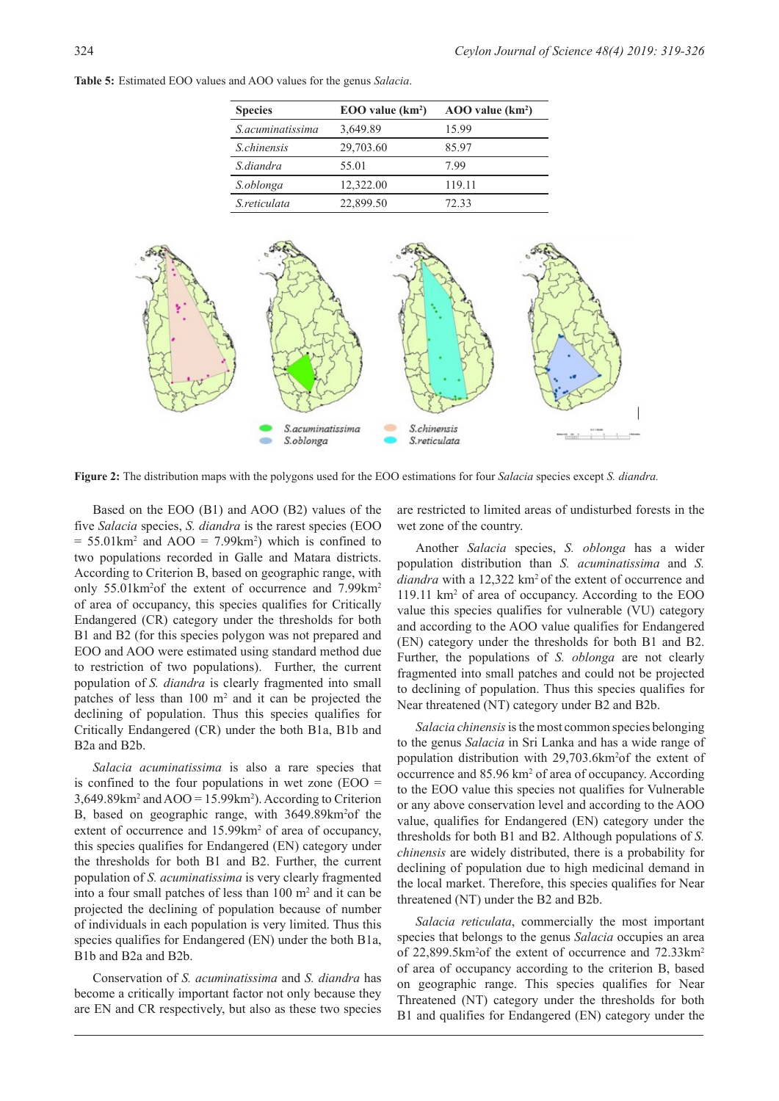**Table 5:** Estimated EOO values and AOO values for the genus *Salacia*.

| <b>Species</b>     | EOO value (km <sup>2</sup> ) | $AOO$ value $(km2)$ |
|--------------------|------------------------------|---------------------|
| S.acuminatissima   | 3,649.89                     | 15.99               |
| <i>S.chinensis</i> | 29,703.60                    | 8597                |
| S diandra          | 55.01                        | 799                 |
| S.oblonga          | 12,322.00                    | 119.11              |
| S reticulata       | 22,899.50                    | 72.33               |



**Figure 2:** The distribution maps with the polygons used for the EOO estimations for four *Salacia* species except *S. diandra.*

Based on the EOO (B1) and AOO (B2) values of the five *Salacia* species, *S. diandra* is the rarest species (EOO  $= 55.01 \text{km}^2$  and AOO  $= 7.99 \text{km}^2$ ) which is confined to two populations recorded in Galle and Matara districts. According to Criterion B, based on geographic range, with only 55.01km<sup>2</sup>of the extent of occurrence and 7.99km<sup>2</sup> of area of occupancy, this species qualifies for Critically Endangered (CR) category under the thresholds for both B1 and B2 (for this species polygon was not prepared and EOO and AOO were estimated using standard method due to restriction of two populations). Further, the current population of *S. diandra* is clearly fragmented into small patches of less than  $100 \text{ m}^2$  and it can be projected the declining of population. Thus this species qualifies for Critically Endangered (CR) under the both B1a, B1b and B2a and B2b.

*Salacia acuminatissima* is also a rare species that is confined to the four populations in wet zone  $(EOO =$  $3,649.89 \text{km}^2$  and  $AOO = 15.99 \text{km}^2$ ). According to Criterion B, based on geographic range, with 3649.89km<sup>2</sup>of the extent of occurrence and 15.99km<sup>2</sup> of area of occupancy, this species qualifies for Endangered (EN) category under the thresholds for both B1 and B2. Further, the current population of *S. acuminatissima* is very clearly fragmented into a four small patches of less than  $100 \text{ m}^2$  and it can be projected the declining of population because of number of individuals in each population is very limited. Thus this species qualifies for Endangered (EN) under the both B1a. B1b and B2a and B2b.

Conservation of *S. acuminatissima* and *S. diandra* has become a critically important factor not only because they are EN and CR respectively, but also as these two species

are restricted to limited areas of undisturbed forests in the wet zone of the country.

Another *Salacia* species, *S. oblonga* has a wider population distribution than *S. acuminatissima* and *S. diandra* with a 12,322 km2 of the extent of occurrence and 119.11 km2 of area of occupancy. According to the EOO value this species qualifies for vulnerable (VU) category and according to the AOO value qualifies for Endangered (EN) category under the thresholds for both B1 and B2. Further, the populations of *S. oblonga* are not clearly fragmented into small patches and could not be projected to declining of population. Thus this species qualifies for Near threatened (NT) category under B2 and B2b.

*Salacia chinensis* is the most common species belonging to the genus *Salacia* in Sri Lanka and has a wide range of population distribution with 29,703.6km2 of the extent of occurrence and 85.96 km<sup>2</sup> of area of occupancy. According to the EOO value this species not qualifies for Vulnerable or any above conservation level and according to the AOO value, qualifies for Endangered (EN) category under the thresholds for both B1 and B2. Although populations of *S. chinensis* are widely distributed, there is a probability for declining of population due to high medicinal demand in the local market. Therefore, this species qualifies for Near threatened (NT) under the B2 and B2b.

*Salacia reticulata*, commercially the most important species that belongs to the genus *Salacia* occupies an area of 22,899.5km<sup>2</sup>of the extent of occurrence and 72.33km<sup>2</sup> of area of occupancy according to the criterion B, based on geographic range. This species qualifies for Near Threatened (NT) category under the thresholds for both B1 and qualifies for Endangered (EN) category under the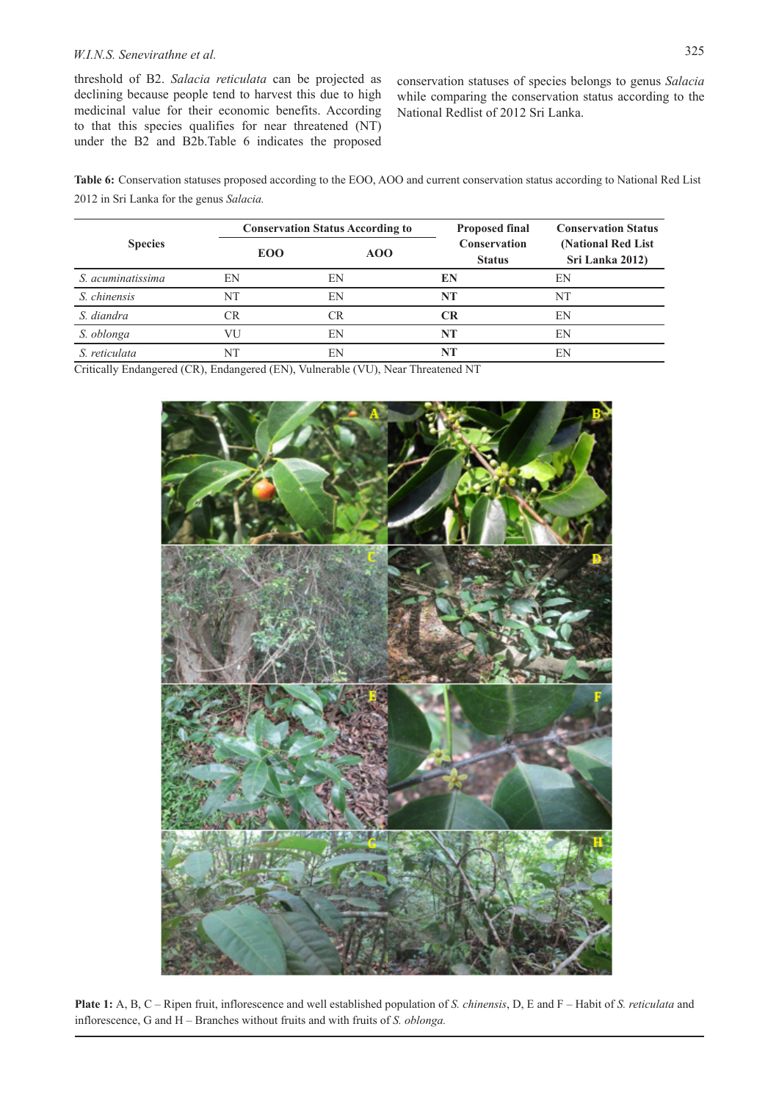# *W.I.N.S. Senevirathne et al.* 325

threshold of B2. *Salacia reticulata* can be projected as declining because people tend to harvest this due to high medicinal value for their economic benefits. According to that this species qualifies for near threatened (NT) under the B2 and B2b.Table 6 indicates the proposed

conservation statuses of species belongs to genus *Salacia* while comparing the conservation status according to the National Redlist of 2012 Sri Lanka.

**Table 6:** Conservation statuses proposed according to the EOO, AOO and current conservation status according to National Red List 2012 in Sri Lanka for the genus *Salacia.* 

|                   |            | <b>Conservation Status According to</b> |                                      | <b>Conservation Status</b>             |
|-------------------|------------|-----------------------------------------|--------------------------------------|----------------------------------------|
| <b>Species</b>    | <b>EOO</b> | AOO                                     | <b>Conservation</b><br><b>Status</b> | (National Red List)<br>Sri Lanka 2012) |
| S. acuminatissima | EN         | EN                                      | EN                                   | EN                                     |
| S. chinensis      | NT         | EN                                      | <b>NT</b>                            | NT                                     |
| S. diandra        | CR         | CR                                      | CR                                   | EN                                     |
| S. oblonga        | VU         | EN                                      | NT                                   | EN                                     |
| S. reticulata     | NT         | EN                                      |                                      | EN                                     |

Critically Endangered (CR), Endangered (EN), Vulnerable (VU), Near Threatened NT



**Plate 1:** A, B, C – Ripen fruit, inflorescence and well established population of *S. chinensis*, D, E and F – Habit of *S. reticulata* and inflorescence, G and H – Branches without fruits and with fruits of *S. oblonga.*